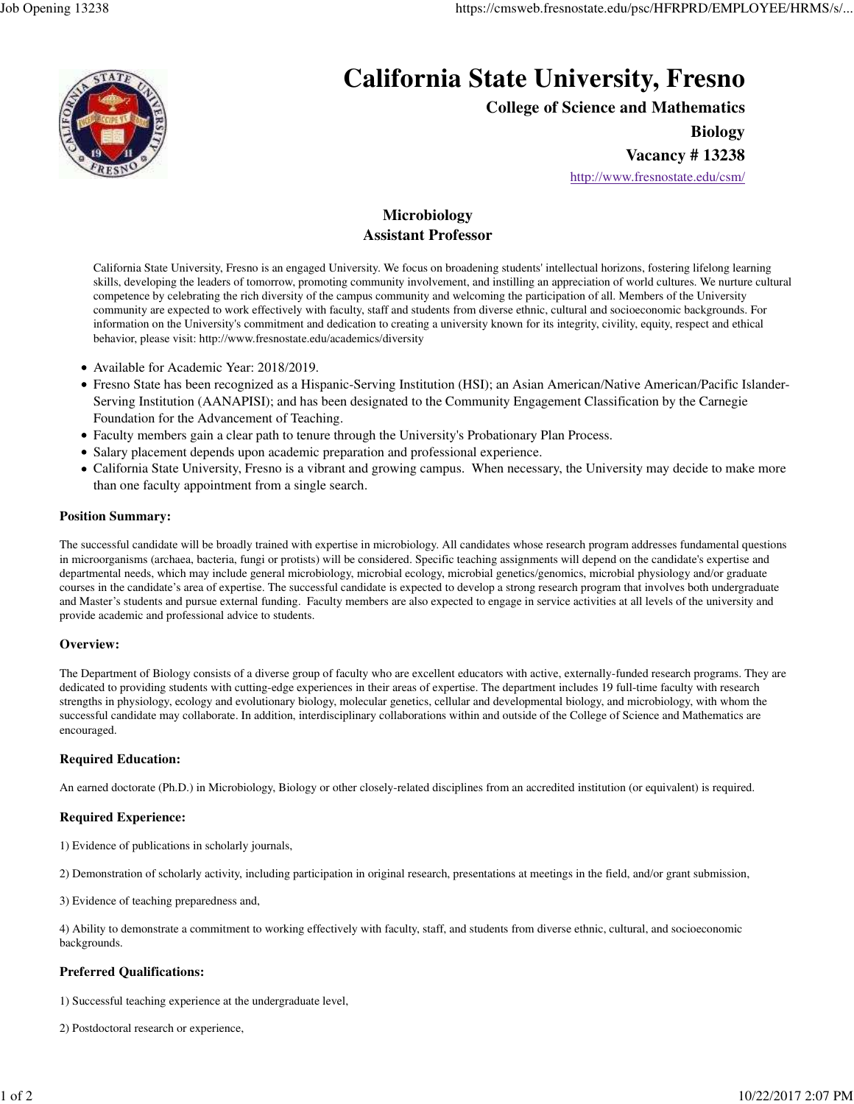

# **California State University, Fresno**

**College of Science and Mathematics**

**Biology**

**Vacancy # 13238**

http://www.fresnostate.edu/csm/

# **Microbiology Assistant Professor**

California State University, Fresno is an engaged University. We focus on broadening students' intellectual horizons, fostering lifelong learning skills, developing the leaders of tomorrow, promoting community involvement, and instilling an appreciation of world cultures. We nurture cultural competence by celebrating the rich diversity of the campus community and welcoming the participation of all. Members of the University community are expected to work effectively with faculty, staff and students from diverse ethnic, cultural and socioeconomic backgrounds. For information on the University's commitment and dedication to creating a university known for its integrity, civility, equity, respect and ethical behavior, please visit: http://www.fresnostate.edu/academics/diversity

- Available for Academic Year: 2018/2019.
- Fresno State has been recognized as a Hispanic-Serving Institution (HSI); an Asian American/Native American/Pacific Islander-Serving Institution (AANAPISI); and has been designated to the Community Engagement Classification by the Carnegie Foundation for the Advancement of Teaching.
- Faculty members gain a clear path to tenure through the University's Probationary Plan Process.
- Salary placement depends upon academic preparation and professional experience.
- California State University, Fresno is a vibrant and growing campus. When necessary, the University may decide to make more than one faculty appointment from a single search.

# **Position Summary:**

The successful candidate will be broadly trained with expertise in microbiology. All candidates whose research program addresses fundamental questions in microorganisms (archaea, bacteria, fungi or protists) will be considered. Specific teaching assignments will depend on the candidate's expertise and departmental needs, which may include general microbiology, microbial ecology, microbial genetics/genomics, microbial physiology and/or graduate courses in the candidate's area of expertise. The successful candidate is expected to develop a strong research program that involves both undergraduate and Master's students and pursue external funding. Faculty members are also expected to engage in service activities at all levels of the university and provide academic and professional advice to students.

# **Overview:**

The Department of Biology consists of a diverse group of faculty who are excellent educators with active, externally-funded research programs. They are dedicated to providing students with cutting-edge experiences in their areas of expertise. The department includes 19 full-time faculty with research strengths in physiology, ecology and evolutionary biology, molecular genetics, cellular and developmental biology, and microbiology, with whom the successful candidate may collaborate. In addition, interdisciplinary collaborations within and outside of the College of Science and Mathematics are encouraged.

# **Required Education:**

An earned doctorate (Ph.D.) in Microbiology, Biology or other closely-related disciplines from an accredited institution (or equivalent) is required.

# **Required Experience:**

1) Evidence of publications in scholarly journals,

2) Demonstration of scholarly activity, including participation in original research, presentations at meetings in the field, and/or grant submission,

3) Evidence of teaching preparedness and,

4) Ability to demonstrate a commitment to working effectively with faculty, staff, and students from diverse ethnic, cultural, and socioeconomic backgrounds.

# **Preferred Qualifications:**

1) Successful teaching experience at the undergraduate level,

2) Postdoctoral research or experience,